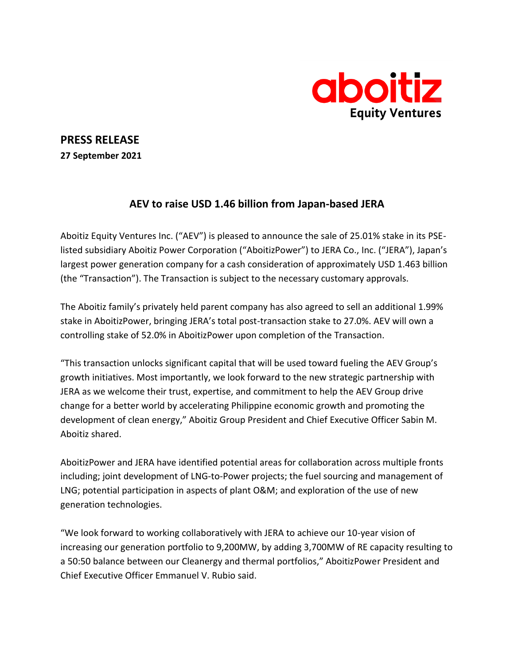

## **PRESS RELEASE**

**27 September 2021**

# **AEV to raise USD 1.46 billion from Japan-based JERA**

Aboitiz Equity Ventures Inc. ("AEV") is pleased to announce the sale of 25.01% stake in its PSElisted subsidiary Aboitiz Power Corporation ("AboitizPower") to JERA Co., Inc. ("JERA"), Japan's largest power generation company for a cash consideration of approximately USD 1.463 billion (the "Transaction"). The Transaction is subject to the necessary customary approvals.

The Aboitiz family's privately held parent company has also agreed to sell an additional 1.99% stake in AboitizPower, bringing JERA's total post-transaction stake to 27.0%. AEV will own a controlling stake of 52.0% in AboitizPower upon completion of the Transaction.

"This transaction unlocks significant capital that will be used toward fueling the AEV Group's growth initiatives. Most importantly, we look forward to the new strategic partnership with JERA as we welcome their trust, expertise, and commitment to help the AEV Group drive change for a better world by accelerating Philippine economic growth and promoting the development of clean energy," Aboitiz Group President and Chief Executive Officer Sabin M. Aboitiz shared.

AboitizPower and JERA have identified potential areas for collaboration across multiple fronts including; joint development of LNG-to-Power projects; the fuel sourcing and management of LNG; potential participation in aspects of plant O&M; and exploration of the use of new generation technologies.

"We look forward to working collaboratively with JERA to achieve our 10-year vision of increasing our generation portfolio to 9,200MW, by adding 3,700MW of RE capacity resulting to a 50:50 balance between our Cleanergy and thermal portfolios," AboitizPower President and Chief Executive Officer Emmanuel V. Rubio said.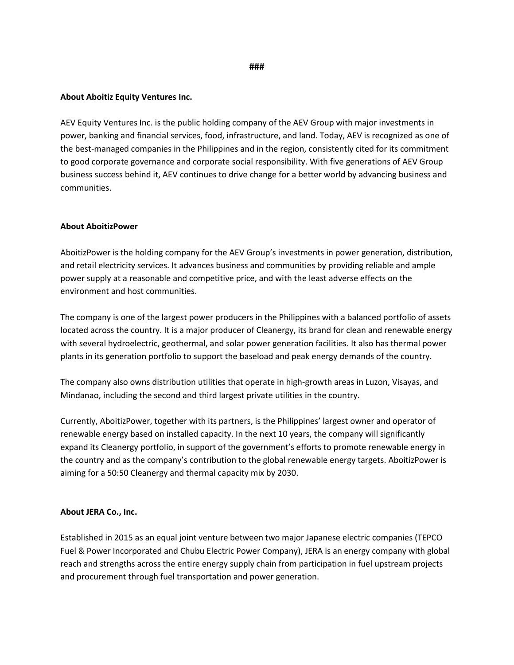### **###**

### **About Aboitiz Equity Ventures Inc.**

AEV Equity Ventures Inc. is the public holding company of the AEV Group with major investments in power, banking and financial services, food, infrastructure, and land. Today, AEV is recognized as one of the best-managed companies in the Philippines and in the region, consistently cited for its commitment to good corporate governance and corporate social responsibility. With five generations of AEV Group business success behind it, AEV continues to drive change for a better world by advancing business and communities.

#### **About AboitizPower**

AboitizPower is the holding company for the AEV Group's investments in power generation, distribution, and retail electricity services. It advances business and communities by providing reliable and ample power supply at a reasonable and competitive price, and with the least adverse effects on the environment and host communities.

The company is one of the largest power producers in the Philippines with a balanced portfolio of assets located across the country. It is a major producer of Cleanergy, its brand for clean and renewable energy with several hydroelectric, geothermal, and solar power generation facilities. It also has thermal power plants in its generation portfolio to support the baseload and peak energy demands of the country.

The company also owns distribution utilities that operate in high-growth areas in Luzon, Visayas, and Mindanao, including the second and third largest private utilities in the country.

Currently, AboitizPower, together with its partners, is the Philippines' largest owner and operator of renewable energy based on installed capacity. In the next 10 years, the company will significantly expand its Cleanergy portfolio, in support of the government's efforts to promote renewable energy in the country and as the company's contribution to the global renewable energy targets. AboitizPower is aiming for a 50:50 Cleanergy and thermal capacity mix by 2030.

#### **About JERA Co., Inc.**

Established in 2015 as an equal joint venture between two major Japanese electric companies (TEPCO Fuel & Power Incorporated and Chubu Electric Power Company), JERA is an energy company with global reach and strengths across the entire energy supply chain from participation in fuel upstream projects and procurement through fuel transportation and power generation.